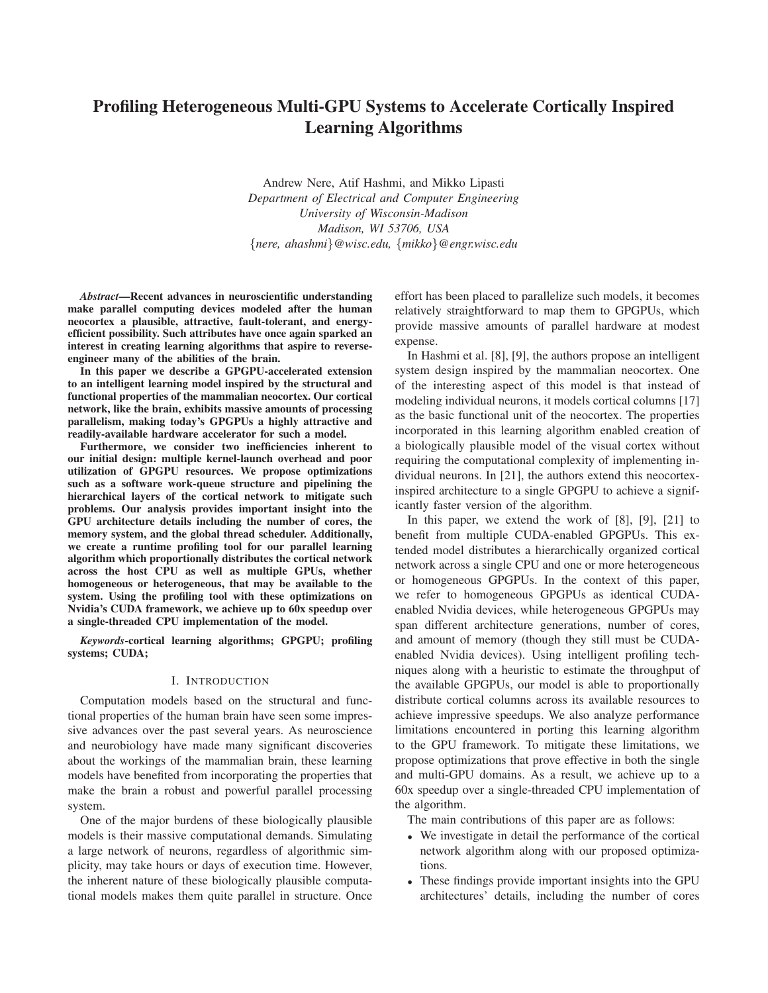# **Profiling Heterogeneous Multi-GPU Systems to Accelerate Cortically Inspired Learning Algorithms**

Andrew Nere, Atif Hashmi, and Mikko Lipasti *Department of Electrical and Computer Engineering University of Wisconsin-Madison Madison, WI 53706, USA* {*nere, ahashmi*}*@wisc.edu,* {*mikko*}*@engr.wisc.edu*

*Abstract***—Recent advances in neuroscientific understanding make parallel computing devices modeled after the human neocortex a plausible, attractive, fault-tolerant, and energyefficient possibility. Such attributes have once again sparked an interest in creating learning algorithms that aspire to reverseengineer many of the abilities of the brain.**

**In this paper we describe a GPGPU-accelerated extension to an intelligent learning model inspired by the structural and functional properties of the mammalian neocortex. Our cortical network, like the brain, exhibits massive amounts of processing parallelism, making today's GPGPUs a highly attractive and readily-available hardware accelerator for such a model.**

**Furthermore, we consider two inefficiencies inherent to our initial design: multiple kernel-launch overhead and poor utilization of GPGPU resources. We propose optimizations such as a software work-queue structure and pipelining the hierarchical layers of the cortical network to mitigate such problems. Our analysis provides important insight into the GPU architecture details including the number of cores, the memory system, and the global thread scheduler. Additionally, we create a runtime profiling tool for our parallel learning algorithm which proportionally distributes the cortical network across the host CPU as well as multiple GPUs, whether homogeneous or heterogeneous, that may be available to the system. Using the profiling tool with these optimizations on Nvidia's CUDA framework, we achieve up to 60x speedup over a single-threaded CPU implementation of the model.**

*Keywords***-cortical learning algorithms; GPGPU; profiling systems; CUDA;**

## I. INTRODUCTION

Computation models based on the structural and functional properties of the human brain have seen some impressive advances over the past several years. As neuroscience and neurobiology have made many significant discoveries about the workings of the mammalian brain, these learning models have benefited from incorporating the properties that make the brain a robust and powerful parallel processing system.

One of the major burdens of these biologically plausible models is their massive computational demands. Simulating a large network of neurons, regardless of algorithmic simplicity, may take hours or days of execution time. However, the inherent nature of these biologically plausible computational models makes them quite parallel in structure. Once effort has been placed to parallelize such models, it becomes relatively straightforward to map them to GPGPUs, which provide massive amounts of parallel hardware at modest expense.

In Hashmi et al. [8], [9], the authors propose an intelligent system design inspired by the mammalian neocortex. One of the interesting aspect of this model is that instead of modeling individual neurons, it models cortical columns [17] as the basic functional unit of the neocortex. The properties incorporated in this learning algorithm enabled creation of a biologically plausible model of the visual cortex without requiring the computational complexity of implementing individual neurons. In [21], the authors extend this neocortexinspired architecture to a single GPGPU to achieve a significantly faster version of the algorithm.

In this paper, we extend the work of [8], [9], [21] to benefit from multiple CUDA-enabled GPGPUs. This extended model distributes a hierarchically organized cortical network across a single CPU and one or more heterogeneous or homogeneous GPGPUs. In the context of this paper, we refer to homogeneous GPGPUs as identical CUDAenabled Nvidia devices, while heterogeneous GPGPUs may span different architecture generations, number of cores, and amount of memory (though they still must be CUDAenabled Nvidia devices). Using intelligent profiling techniques along with a heuristic to estimate the throughput of the available GPGPUs, our model is able to proportionally distribute cortical columns across its available resources to achieve impressive speedups. We also analyze performance limitations encountered in porting this learning algorithm to the GPU framework. To mitigate these limitations, we propose optimizations that prove effective in both the single and multi-GPU domains. As a result, we achieve up to a 60x speedup over a single-threaded CPU implementation of the algorithm.

The main contributions of this paper are as follows:

- We investigate in detail the performance of the cortical network algorithm along with our proposed optimizations.
- These findings provide important insights into the GPU architectures' details, including the number of cores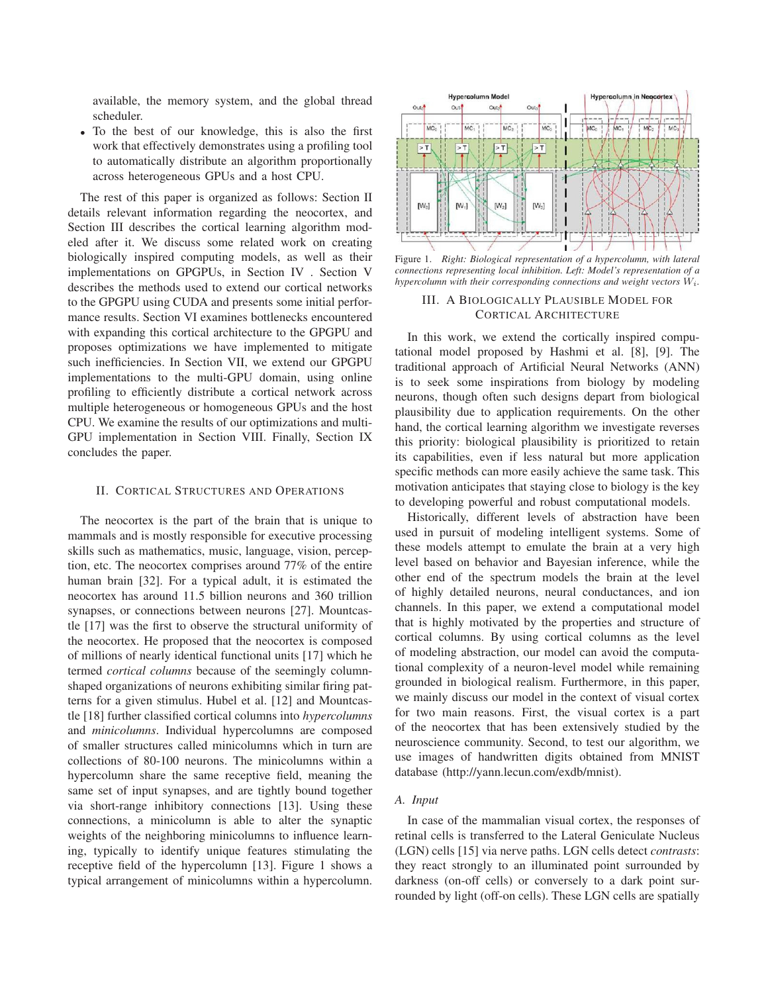available, the memory system, and the global thread scheduler.

• To the best of our knowledge, this is also the first work that effectively demonstrates using a profiling tool to automatically distribute an algorithm proportionally across heterogeneous GPUs and a host CPU.

The rest of this paper is organized as follows: Section II details relevant information regarding the neocortex, and Section III describes the cortical learning algorithm modeled after it. We discuss some related work on creating biologically inspired computing models, as well as their implementations on GPGPUs, in Section IV . Section V describes the methods used to extend our cortical networks to the GPGPU using CUDA and presents some initial performance results. Section VI examines bottlenecks encountered with expanding this cortical architecture to the GPGPU and proposes optimizations we have implemented to mitigate such inefficiencies. In Section VII, we extend our GPGPU implementations to the multi-GPU domain, using online profiling to efficiently distribute a cortical network across multiple heterogeneous or homogeneous GPUs and the host CPU. We examine the results of our optimizations and multi-GPU implementation in Section VIII. Finally, Section IX concludes the paper.

## II. CORTICAL STRUCTURES AND OPERATIONS

The neocortex is the part of the brain that is unique to mammals and is mostly responsible for executive processing skills such as mathematics, music, language, vision, perception, etc. The neocortex comprises around 77% of the entire human brain [32]. For a typical adult, it is estimated the neocortex has around 11.5 billion neurons and 360 trillion synapses, or connections between neurons [27]. Mountcastle [17] was the first to observe the structural uniformity of the neocortex. He proposed that the neocortex is composed of millions of nearly identical functional units [17] which he termed *cortical columns* because of the seemingly columnshaped organizations of neurons exhibiting similar firing patterns for a given stimulus. Hubel et al. [12] and Mountcastle [18] further classified cortical columns into *hypercolumns* and *minicolumns*. Individual hypercolumns are composed of smaller structures called minicolumns which in turn are collections of 80-100 neurons. The minicolumns within a hypercolumn share the same receptive field, meaning the same set of input synapses, and are tightly bound together via short-range inhibitory connections [13]. Using these connections, a minicolumn is able to alter the synaptic weights of the neighboring minicolumns to influence learning, typically to identify unique features stimulating the receptive field of the hypercolumn [13]. Figure 1 shows a typical arrangement of minicolumns within a hypercolumn.



Figure 1. *Right: Biological representation of a hypercolumn, with lateral connections representing local inhibition. Left: Model's representation of a hypercolumn with their corresponding connections and weight vectors* Wi*.*

# III. A BIOLOGICALLY PLAUSIBLE MODEL FOR CORTICAL ARCHITECTURE

In this work, we extend the cortically inspired computational model proposed by Hashmi et al. [8], [9]. The traditional approach of Artificial Neural Networks (ANN) is to seek some inspirations from biology by modeling neurons, though often such designs depart from biological plausibility due to application requirements. On the other hand, the cortical learning algorithm we investigate reverses this priority: biological plausibility is prioritized to retain its capabilities, even if less natural but more application specific methods can more easily achieve the same task. This motivation anticipates that staying close to biology is the key to developing powerful and robust computational models.

Historically, different levels of abstraction have been used in pursuit of modeling intelligent systems. Some of these models attempt to emulate the brain at a very high level based on behavior and Bayesian inference, while the other end of the spectrum models the brain at the level of highly detailed neurons, neural conductances, and ion channels. In this paper, we extend a computational model that is highly motivated by the properties and structure of cortical columns. By using cortical columns as the level of modeling abstraction, our model can avoid the computational complexity of a neuron-level model while remaining grounded in biological realism. Furthermore, in this paper, we mainly discuss our model in the context of visual cortex for two main reasons. First, the visual cortex is a part of the neocortex that has been extensively studied by the neuroscience community. Second, to test our algorithm, we use images of handwritten digits obtained from MNIST database (http://yann.lecun.com/exdb/mnist).

# *A. Input*

In case of the mammalian visual cortex, the responses of retinal cells is transferred to the Lateral Geniculate Nucleus (LGN) cells [15] via nerve paths. LGN cells detect *contrasts*: they react strongly to an illuminated point surrounded by darkness (on-off cells) or conversely to a dark point surrounded by light (off-on cells). These LGN cells are spatially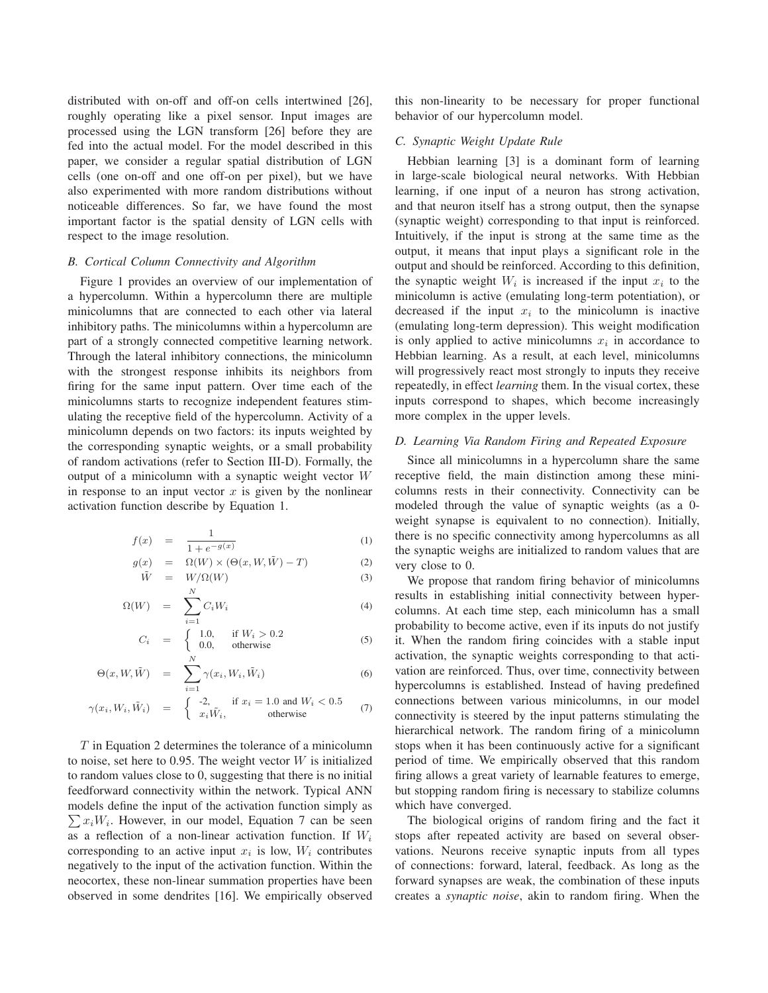distributed with on-off and off-on cells intertwined [26], roughly operating like a pixel sensor. Input images are processed using the LGN transform [26] before they are fed into the actual model. For the model described in this paper, we consider a regular spatial distribution of LGN cells (one on-off and one off-on per pixel), but we have also experimented with more random distributions without noticeable differences. So far, we have found the most important factor is the spatial density of LGN cells with respect to the image resolution.

# *B. Cortical Column Connectivity and Algorithm*

Figure 1 provides an overview of our implementation of a hypercolumn. Within a hypercolumn there are multiple minicolumns that are connected to each other via lateral inhibitory paths. The minicolumns within a hypercolumn are part of a strongly connected competitive learning network. Through the lateral inhibitory connections, the minicolumn with the strongest response inhibits its neighbors from firing for the same input pattern. Over time each of the minicolumns starts to recognize independent features stimulating the receptive field of the hypercolumn. Activity of a minicolumn depends on two factors: its inputs weighted by the corresponding synaptic weights, or a small probability of random activations (refer to Section III-D). Formally, the output of a minicolumn with a synaptic weight vector W in response to an input vector  $x$  is given by the nonlinear activation function describe by Equation 1.

$$
f(x) = \frac{1}{1 + e^{-g(x)}}\tag{1}
$$

$$
g(x) = \Omega(W) \times (\Theta(x, W, \tilde{W}) - T)
$$
 (2)

$$
\tilde{W} = W/\Omega(W) \tag{3}
$$

$$
\Omega(W) = \sum_{i=1}^{N} C_i W_i \tag{4}
$$

$$
C_i = \begin{cases} 1.0, & \text{if } W_i > 0.2 \\ 0.0, & \text{otherwise} \end{cases}
$$
 (5)

$$
\Theta(x, W, \tilde{W}) = \sum_{i=1}^{N} \gamma(x_i, W_i, \tilde{W}_i)
$$
\n(6)

$$
\gamma(x_i, W_i, \tilde{W}_i) = \begin{cases} -2, & \text{if } x_i = 1.0 \text{ and } W_i < 0.5\\ x_i \tilde{W}_i, & \text{otherwise} \end{cases} (7)
$$

 $T$  in Equation 2 determines the tolerance of a minicolumn to noise, set here to 0.95. The weight vector  $W$  is initialized to random values close to 0, suggesting that there is no initial feedforward connectivity within the network. Typical ANN models define the input of the activation function simply as  $\sum x_i W_i$ . However, in our model, Equation 7 can be seen as a reflection of a non-linear activation function. If  $W_i$ corresponding to an active input  $x_i$  is low,  $W_i$  contributes negatively to the input of the activation function. Within the neocortex, these non-linear summation properties have been observed in some dendrites [16]. We empirically observed this non-linearity to be necessary for proper functional behavior of our hypercolumn model.

#### *C. Synaptic Weight Update Rule*

Hebbian learning [3] is a dominant form of learning in large-scale biological neural networks. With Hebbian learning, if one input of a neuron has strong activation, and that neuron itself has a strong output, then the synapse (synaptic weight) corresponding to that input is reinforced. Intuitively, if the input is strong at the same time as the output, it means that input plays a significant role in the output and should be reinforced. According to this definition, the synaptic weight  $W_i$  is increased if the input  $x_i$  to the minicolumn is active (emulating long-term potentiation), or decreased if the input  $x_i$  to the minicolumn is inactive (emulating long-term depression). This weight modification is only applied to active minicolumns  $x_i$  in accordance to Hebbian learning. As a result, at each level, minicolumns will progressively react most strongly to inputs they receive repeatedly, in effect *learning* them. In the visual cortex, these inputs correspond to shapes, which become increasingly more complex in the upper levels.

## *D. Learning Via Random Firing and Repeated Exposure*

Since all minicolumns in a hypercolumn share the same receptive field, the main distinction among these minicolumns rests in their connectivity. Connectivity can be modeled through the value of synaptic weights (as a 0 weight synapse is equivalent to no connection). Initially, there is no specific connectivity among hypercolumns as all the synaptic weighs are initialized to random values that are very close to 0.

We propose that random firing behavior of minicolumns results in establishing initial connectivity between hypercolumns. At each time step, each minicolumn has a small probability to become active, even if its inputs do not justify it. When the random firing coincides with a stable input activation, the synaptic weights corresponding to that activation are reinforced. Thus, over time, connectivity between hypercolumns is established. Instead of having predefined connections between various minicolumns, in our model connectivity is steered by the input patterns stimulating the hierarchical network. The random firing of a minicolumn stops when it has been continuously active for a significant period of time. We empirically observed that this random firing allows a great variety of learnable features to emerge, but stopping random firing is necessary to stabilize columns which have converged.

The biological origins of random firing and the fact it stops after repeated activity are based on several observations. Neurons receive synaptic inputs from all types of connections: forward, lateral, feedback. As long as the forward synapses are weak, the combination of these inputs creates a *synaptic noise*, akin to random firing. When the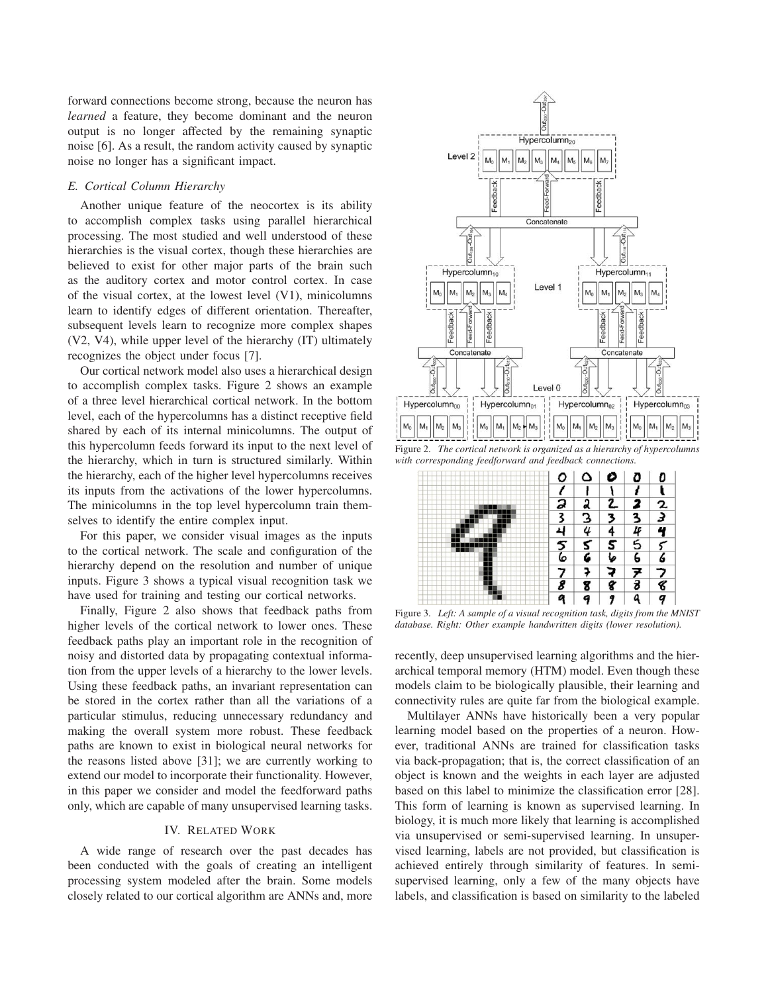forward connections become strong, because the neuron has *learned* a feature, they become dominant and the neuron output is no longer affected by the remaining synaptic noise [6]. As a result, the random activity caused by synaptic noise no longer has a significant impact.

# *E. Cortical Column Hierarchy*

Another unique feature of the neocortex is its ability to accomplish complex tasks using parallel hierarchical processing. The most studied and well understood of these hierarchies is the visual cortex, though these hierarchies are believed to exist for other major parts of the brain such as the auditory cortex and motor control cortex. In case of the visual cortex, at the lowest level (V1), minicolumns learn to identify edges of different orientation. Thereafter, subsequent levels learn to recognize more complex shapes (V2, V4), while upper level of the hierarchy (IT) ultimately recognizes the object under focus [7].

Our cortical network model also uses a hierarchical design to accomplish complex tasks. Figure 2 shows an example of a three level hierarchical cortical network. In the bottom level, each of the hypercolumns has a distinct receptive field shared by each of its internal minicolumns. The output of this hypercolumn feeds forward its input to the next level of the hierarchy, which in turn is structured similarly. Within the hierarchy, each of the higher level hypercolumns receives its inputs from the activations of the lower hypercolumns. The minicolumns in the top level hypercolumn train themselves to identify the entire complex input.

For this paper, we consider visual images as the inputs to the cortical network. The scale and configuration of the hierarchy depend on the resolution and number of unique inputs. Figure 3 shows a typical visual recognition task we have used for training and testing our cortical networks.

Finally, Figure 2 also shows that feedback paths from higher levels of the cortical network to lower ones. These feedback paths play an important role in the recognition of noisy and distorted data by propagating contextual information from the upper levels of a hierarchy to the lower levels. Using these feedback paths, an invariant representation can be stored in the cortex rather than all the variations of a particular stimulus, reducing unnecessary redundancy and making the overall system more robust. These feedback paths are known to exist in biological neural networks for the reasons listed above [31]; we are currently working to extend our model to incorporate their functionality. However, in this paper we consider and model the feedforward paths only, which are capable of many unsupervised learning tasks.

# IV. RELATED WORK

A wide range of research over the past decades has been conducted with the goals of creating an intelligent processing system modeled after the brain. Some models closely related to our cortical algorithm are ANNs and, more





Figure 3. *Left: A sample of a visual recognition task, digits from the MNIST database. Right: Other example handwritten digits (lower resolution).*

recently, deep unsupervised learning algorithms and the hierarchical temporal memory (HTM) model. Even though these models claim to be biologically plausible, their learning and connectivity rules are quite far from the biological example.

Multilayer ANNs have historically been a very popular learning model based on the properties of a neuron. However, traditional ANNs are trained for classification tasks via back-propagation; that is, the correct classification of an object is known and the weights in each layer are adjusted based on this label to minimize the classification error [28]. This form of learning is known as supervised learning. In biology, it is much more likely that learning is accomplished via unsupervised or semi-supervised learning. In unsupervised learning, labels are not provided, but classification is achieved entirely through similarity of features. In semisupervised learning, only a few of the many objects have labels, and classification is based on similarity to the labeled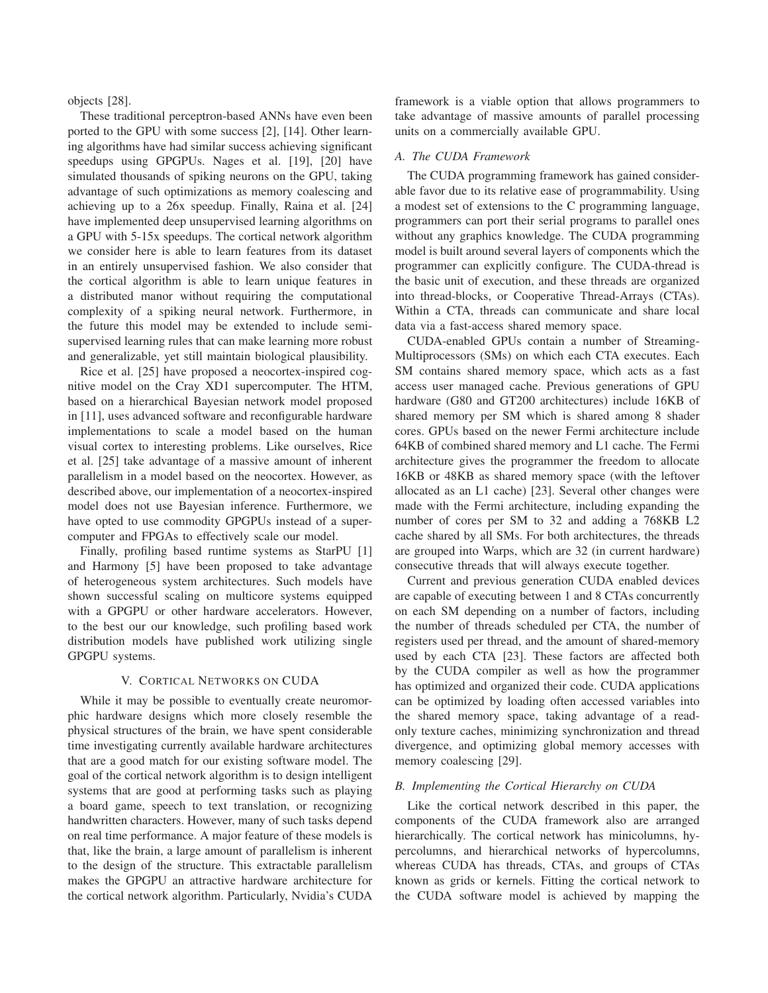objects [28].

These traditional perceptron-based ANNs have even been ported to the GPU with some success [2], [14]. Other learning algorithms have had similar success achieving significant speedups using GPGPUs. Nages et al. [19], [20] have simulated thousands of spiking neurons on the GPU, taking advantage of such optimizations as memory coalescing and achieving up to a 26x speedup. Finally, Raina et al. [24] have implemented deep unsupervised learning algorithms on a GPU with 5-15x speedups. The cortical network algorithm we consider here is able to learn features from its dataset in an entirely unsupervised fashion. We also consider that the cortical algorithm is able to learn unique features in a distributed manor without requiring the computational complexity of a spiking neural network. Furthermore, in the future this model may be extended to include semisupervised learning rules that can make learning more robust and generalizable, yet still maintain biological plausibility.

Rice et al. [25] have proposed a neocortex-inspired cognitive model on the Cray XD1 supercomputer. The HTM, based on a hierarchical Bayesian network model proposed in [11], uses advanced software and reconfigurable hardware implementations to scale a model based on the human visual cortex to interesting problems. Like ourselves, Rice et al. [25] take advantage of a massive amount of inherent parallelism in a model based on the neocortex. However, as described above, our implementation of a neocortex-inspired model does not use Bayesian inference. Furthermore, we have opted to use commodity GPGPUs instead of a supercomputer and FPGAs to effectively scale our model.

Finally, profiling based runtime systems as StarPU [1] and Harmony [5] have been proposed to take advantage of heterogeneous system architectures. Such models have shown successful scaling on multicore systems equipped with a GPGPU or other hardware accelerators. However, to the best our our knowledge, such profiling based work distribution models have published work utilizing single GPGPU systems.

## V. CORTICAL NETWORKS ON CUDA

While it may be possible to eventually create neuromorphic hardware designs which more closely resemble the physical structures of the brain, we have spent considerable time investigating currently available hardware architectures that are a good match for our existing software model. The goal of the cortical network algorithm is to design intelligent systems that are good at performing tasks such as playing a board game, speech to text translation, or recognizing handwritten characters. However, many of such tasks depend on real time performance. A major feature of these models is that, like the brain, a large amount of parallelism is inherent to the design of the structure. This extractable parallelism makes the GPGPU an attractive hardware architecture for the cortical network algorithm. Particularly, Nvidia's CUDA framework is a viable option that allows programmers to take advantage of massive amounts of parallel processing units on a commercially available GPU.

## *A. The CUDA Framework*

The CUDA programming framework has gained considerable favor due to its relative ease of programmability. Using a modest set of extensions to the C programming language, programmers can port their serial programs to parallel ones without any graphics knowledge. The CUDA programming model is built around several layers of components which the programmer can explicitly configure. The CUDA-thread is the basic unit of execution, and these threads are organized into thread-blocks, or Cooperative Thread-Arrays (CTAs). Within a CTA, threads can communicate and share local data via a fast-access shared memory space.

CUDA-enabled GPUs contain a number of Streaming-Multiprocessors (SMs) on which each CTA executes. Each SM contains shared memory space, which acts as a fast access user managed cache. Previous generations of GPU hardware (G80 and GT200 architectures) include 16KB of shared memory per SM which is shared among 8 shader cores. GPUs based on the newer Fermi architecture include 64KB of combined shared memory and L1 cache. The Fermi architecture gives the programmer the freedom to allocate 16KB or 48KB as shared memory space (with the leftover allocated as an L1 cache) [23]. Several other changes were made with the Fermi architecture, including expanding the number of cores per SM to 32 and adding a 768KB L2 cache shared by all SMs. For both architectures, the threads are grouped into Warps, which are 32 (in current hardware) consecutive threads that will always execute together.

Current and previous generation CUDA enabled devices are capable of executing between 1 and 8 CTAs concurrently on each SM depending on a number of factors, including the number of threads scheduled per CTA, the number of registers used per thread, and the amount of shared-memory used by each CTA [23]. These factors are affected both by the CUDA compiler as well as how the programmer has optimized and organized their code. CUDA applications can be optimized by loading often accessed variables into the shared memory space, taking advantage of a readonly texture caches, minimizing synchronization and thread divergence, and optimizing global memory accesses with memory coalescing [29].

## *B. Implementing the Cortical Hierarchy on CUDA*

Like the cortical network described in this paper, the components of the CUDA framework also are arranged hierarchically. The cortical network has minicolumns, hypercolumns, and hierarchical networks of hypercolumns, whereas CUDA has threads, CTAs, and groups of CTAs known as grids or kernels. Fitting the cortical network to the CUDA software model is achieved by mapping the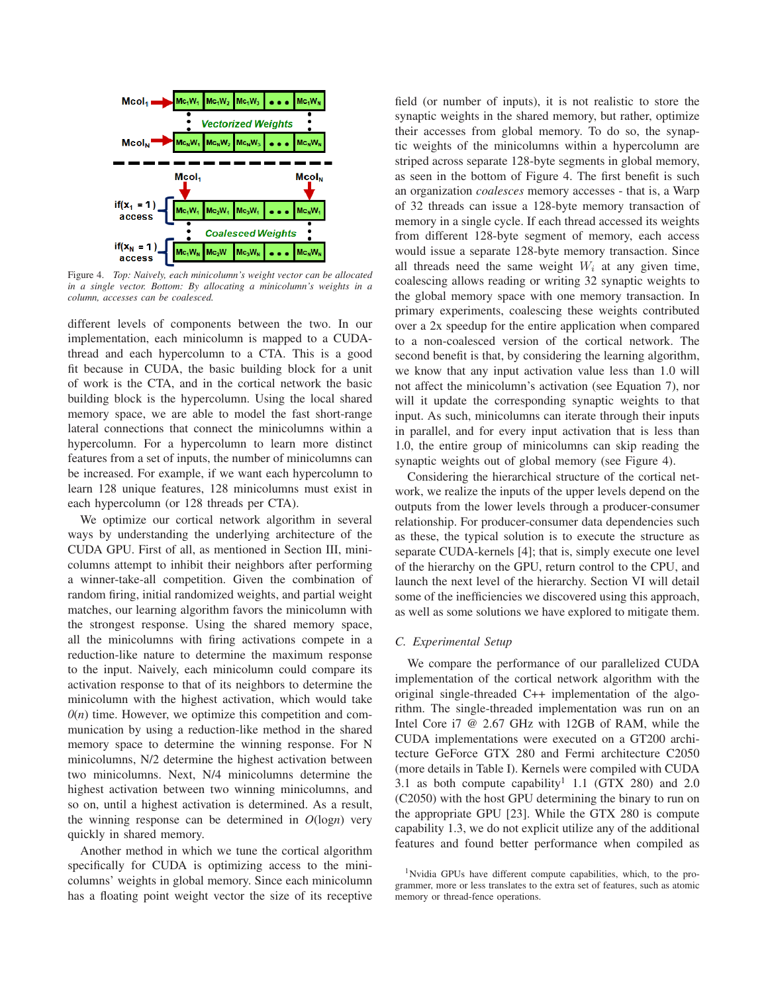

Figure 4. *Top: Naively, each minicolumn's weight vector can be allocated in a single vector. Bottom: By allocating a minicolumn's weights in a column, accesses can be coalesced.*

different levels of components between the two. In our implementation, each minicolumn is mapped to a CUDAthread and each hypercolumn to a CTA. This is a good fit because in CUDA, the basic building block for a unit of work is the CTA, and in the cortical network the basic building block is the hypercolumn. Using the local shared memory space, we are able to model the fast short-range lateral connections that connect the minicolumns within a hypercolumn. For a hypercolumn to learn more distinct features from a set of inputs, the number of minicolumns can be increased. For example, if we want each hypercolumn to learn 128 unique features, 128 minicolumns must exist in each hypercolumn (or 128 threads per CTA).

We optimize our cortical network algorithm in several ways by understanding the underlying architecture of the CUDA GPU. First of all, as mentioned in Section III, minicolumns attempt to inhibit their neighbors after performing a winner-take-all competition. Given the combination of random firing, initial randomized weights, and partial weight matches, our learning algorithm favors the minicolumn with the strongest response. Using the shared memory space, all the minicolumns with firing activations compete in a reduction-like nature to determine the maximum response to the input. Naively, each minicolumn could compare its activation response to that of its neighbors to determine the minicolumn with the highest activation, which would take  $O(n)$  time. However, we optimize this competition and communication by using a reduction-like method in the shared memory space to determine the winning response. For N minicolumns, N/2 determine the highest activation between two minicolumns. Next, N/4 minicolumns determine the highest activation between two winning minicolumns, and so on, until a highest activation is determined. As a result, the winning response can be determined in *O*(log*n*) very quickly in shared memory.

Another method in which we tune the cortical algorithm specifically for CUDA is optimizing access to the minicolumns' weights in global memory. Since each minicolumn has a floating point weight vector the size of its receptive field (or number of inputs), it is not realistic to store the synaptic weights in the shared memory, but rather, optimize their accesses from global memory. To do so, the synaptic weights of the minicolumns within a hypercolumn are striped across separate 128-byte segments in global memory, as seen in the bottom of Figure 4. The first benefit is such an organization *coalesces* memory accesses - that is, a Warp of 32 threads can issue a 128-byte memory transaction of memory in a single cycle. If each thread accessed its weights from different 128-byte segment of memory, each access would issue a separate 128-byte memory transaction. Since all threads need the same weight  $W_i$  at any given time, coalescing allows reading or writing 32 synaptic weights to the global memory space with one memory transaction. In primary experiments, coalescing these weights contributed over a 2x speedup for the entire application when compared to a non-coalesced version of the cortical network. The second benefit is that, by considering the learning algorithm, we know that any input activation value less than 1.0 will not affect the minicolumn's activation (see Equation 7), nor will it update the corresponding synaptic weights to that input. As such, minicolumns can iterate through their inputs in parallel, and for every input activation that is less than 1.0, the entire group of minicolumns can skip reading the synaptic weights out of global memory (see Figure 4).

Considering the hierarchical structure of the cortical network, we realize the inputs of the upper levels depend on the outputs from the lower levels through a producer-consumer relationship. For producer-consumer data dependencies such as these, the typical solution is to execute the structure as separate CUDA-kernels [4]; that is, simply execute one level of the hierarchy on the GPU, return control to the CPU, and launch the next level of the hierarchy. Section VI will detail some of the inefficiencies we discovered using this approach, as well as some solutions we have explored to mitigate them.

# *C. Experimental Setup*

We compare the performance of our parallelized CUDA implementation of the cortical network algorithm with the original single-threaded C++ implementation of the algorithm. The single-threaded implementation was run on an Intel Core i7 @ 2.67 GHz with 12GB of RAM, while the CUDA implementations were executed on a GT200 architecture GeForce GTX 280 and Fermi architecture C2050 (more details in Table I). Kernels were compiled with CUDA 3.1 as both compute capability<sup>1</sup> 1.1 (GTX 280) and 2.0 (C2050) with the host GPU determining the binary to run on the appropriate GPU [23]. While the GTX 280 is compute capability 1.3, we do not explicit utilize any of the additional features and found better performance when compiled as

<sup>1</sup>Nvidia GPUs have different compute capabilities, which, to the programmer, more or less translates to the extra set of features, such as atomic memory or thread-fence operations.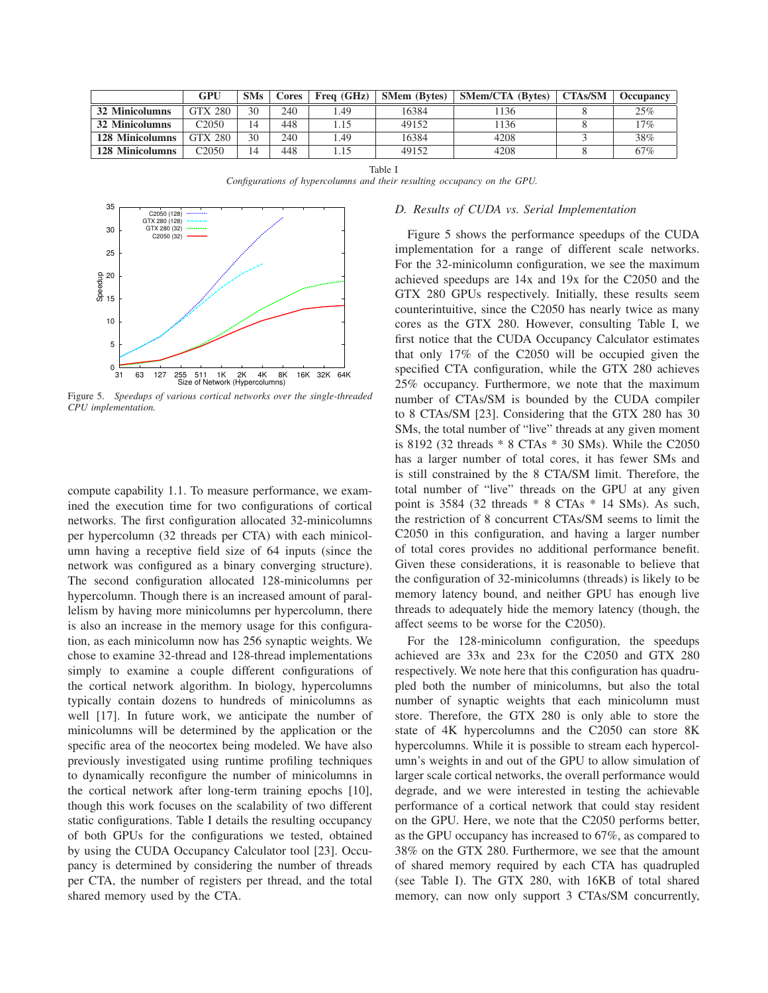|                        | <b>GPU</b>        | <b>SMs</b> | Cores | Freq (GHz) | <b>SMem (Bytes)</b> | <b>SMem/CTA</b> (Bytes) | <b>CTAs/SM</b> | <b>Occupancy</b> |
|------------------------|-------------------|------------|-------|------------|---------------------|-------------------------|----------------|------------------|
| 32 Minicolumns         | GTX 280           | 30         | 240   | .49        | 16384               | 1136                    |                | 25%              |
| 32 Minicolumns         | C2050             | 14         | 448   | .15        | 49152               | 1136                    |                | 17%              |
| 128 Minicolumns        | GTX 280           | 30         | 240   | .49        | 16384               | 4208                    |                | 38%              |
| <b>128 Minicolumns</b> | C <sub>2050</sub> | 14         | 448   | .15        | 49152               | 4208                    |                | 67%              |

Table I *Configurations of hypercolumns and their resulting occupancy on the GPU.*



Figure 5. *Speedups of various cortical networks over the single-threaded CPU implementation.*

compute capability 1.1. To measure performance, we examined the execution time for two configurations of cortical networks. The first configuration allocated 32-minicolumns per hypercolumn (32 threads per CTA) with each minicolumn having a receptive field size of 64 inputs (since the network was configured as a binary converging structure). The second configuration allocated 128-minicolumns per hypercolumn. Though there is an increased amount of parallelism by having more minicolumns per hypercolumn, there is also an increase in the memory usage for this configuration, as each minicolumn now has 256 synaptic weights. We chose to examine 32-thread and 128-thread implementations simply to examine a couple different configurations of the cortical network algorithm. In biology, hypercolumns typically contain dozens to hundreds of minicolumns as well [17]. In future work, we anticipate the number of minicolumns will be determined by the application or the specific area of the neocortex being modeled. We have also previously investigated using runtime profiling techniques to dynamically reconfigure the number of minicolumns in the cortical network after long-term training epochs [10], though this work focuses on the scalability of two different static configurations. Table I details the resulting occupancy of both GPUs for the configurations we tested, obtained by using the CUDA Occupancy Calculator tool [23]. Occupancy is determined by considering the number of threads per CTA, the number of registers per thread, and the total shared memory used by the CTA.

## *D. Results of CUDA vs. Serial Implementation*

Figure 5 shows the performance speedups of the CUDA implementation for a range of different scale networks. For the 32-minicolumn configuration, we see the maximum achieved speedups are 14x and 19x for the C2050 and the GTX 280 GPUs respectively. Initially, these results seem counterintuitive, since the C2050 has nearly twice as many cores as the GTX 280. However, consulting Table I, we first notice that the CUDA Occupancy Calculator estimates that only 17% of the C2050 will be occupied given the specified CTA configuration, while the GTX 280 achieves 25% occupancy. Furthermore, we note that the maximum number of CTAs/SM is bounded by the CUDA compiler to 8 CTAs/SM [23]. Considering that the GTX 280 has 30 SMs, the total number of "live" threads at any given moment is 8192 (32 threads \* 8 CTAs \* 30 SMs). While the C2050 has a larger number of total cores, it has fewer SMs and is still constrained by the 8 CTA/SM limit. Therefore, the total number of "live" threads on the GPU at any given point is 3584 (32 threads \* 8 CTAs \* 14 SMs). As such, the restriction of 8 concurrent CTAs/SM seems to limit the C2050 in this configuration, and having a larger number of total cores provides no additional performance benefit. Given these considerations, it is reasonable to believe that the configuration of 32-minicolumns (threads) is likely to be memory latency bound, and neither GPU has enough live threads to adequately hide the memory latency (though, the affect seems to be worse for the C2050).

For the 128-minicolumn configuration, the speedups achieved are 33x and 23x for the C2050 and GTX 280 respectively. We note here that this configuration has quadrupled both the number of minicolumns, but also the total number of synaptic weights that each minicolumn must store. Therefore, the GTX 280 is only able to store the state of 4K hypercolumns and the C2050 can store 8K hypercolumns. While it is possible to stream each hypercolumn's weights in and out of the GPU to allow simulation of larger scale cortical networks, the overall performance would degrade, and we were interested in testing the achievable performance of a cortical network that could stay resident on the GPU. Here, we note that the C2050 performs better, as the GPU occupancy has increased to 67%, as compared to 38% on the GTX 280. Furthermore, we see that the amount of shared memory required by each CTA has quadrupled (see Table I). The GTX 280, with 16KB of total shared memory, can now only support 3 CTAs/SM concurrently,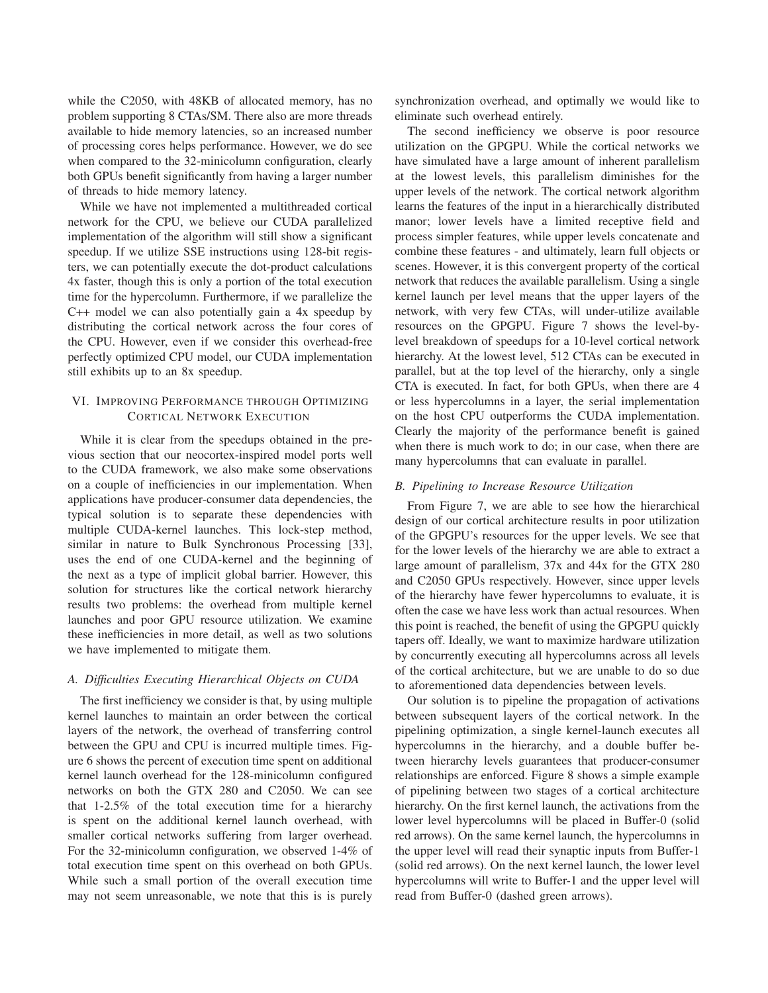while the C2050, with 48KB of allocated memory, has no problem supporting 8 CTAs/SM. There also are more threads available to hide memory latencies, so an increased number of processing cores helps performance. However, we do see when compared to the 32-minicolumn configuration, clearly both GPUs benefit significantly from having a larger number of threads to hide memory latency.

While we have not implemented a multithreaded cortical network for the CPU, we believe our CUDA parallelized implementation of the algorithm will still show a significant speedup. If we utilize SSE instructions using 128-bit registers, we can potentially execute the dot-product calculations 4x faster, though this is only a portion of the total execution time for the hypercolumn. Furthermore, if we parallelize the C++ model we can also potentially gain a 4x speedup by distributing the cortical network across the four cores of the CPU. However, even if we consider this overhead-free perfectly optimized CPU model, our CUDA implementation still exhibits up to an 8x speedup.

# VI. IMPROVING PERFORMANCE THROUGH OPTIMIZING CORTICAL NETWORK EXECUTION

While it is clear from the speedups obtained in the previous section that our neocortex-inspired model ports well to the CUDA framework, we also make some observations on a couple of inefficiencies in our implementation. When applications have producer-consumer data dependencies, the typical solution is to separate these dependencies with multiple CUDA-kernel launches. This lock-step method, similar in nature to Bulk Synchronous Processing [33], uses the end of one CUDA-kernel and the beginning of the next as a type of implicit global barrier. However, this solution for structures like the cortical network hierarchy results two problems: the overhead from multiple kernel launches and poor GPU resource utilization. We examine these inefficiencies in more detail, as well as two solutions we have implemented to mitigate them.

# *A. Difficulties Executing Hierarchical Objects on CUDA*

The first inefficiency we consider is that, by using multiple kernel launches to maintain an order between the cortical layers of the network, the overhead of transferring control between the GPU and CPU is incurred multiple times. Figure 6 shows the percent of execution time spent on additional kernel launch overhead for the 128-minicolumn configured networks on both the GTX 280 and C2050. We can see that 1-2.5% of the total execution time for a hierarchy is spent on the additional kernel launch overhead, with smaller cortical networks suffering from larger overhead. For the 32-minicolumn configuration, we observed 1-4% of total execution time spent on this overhead on both GPUs. While such a small portion of the overall execution time may not seem unreasonable, we note that this is is purely synchronization overhead, and optimally we would like to eliminate such overhead entirely.

The second inefficiency we observe is poor resource utilization on the GPGPU. While the cortical networks we have simulated have a large amount of inherent parallelism at the lowest levels, this parallelism diminishes for the upper levels of the network. The cortical network algorithm learns the features of the input in a hierarchically distributed manor; lower levels have a limited receptive field and process simpler features, while upper levels concatenate and combine these features - and ultimately, learn full objects or scenes. However, it is this convergent property of the cortical network that reduces the available parallelism. Using a single kernel launch per level means that the upper layers of the network, with very few CTAs, will under-utilize available resources on the GPGPU. Figure 7 shows the level-bylevel breakdown of speedups for a 10-level cortical network hierarchy. At the lowest level, 512 CTAs can be executed in parallel, but at the top level of the hierarchy, only a single CTA is executed. In fact, for both GPUs, when there are 4 or less hypercolumns in a layer, the serial implementation on the host CPU outperforms the CUDA implementation. Clearly the majority of the performance benefit is gained when there is much work to do; in our case, when there are many hypercolumns that can evaluate in parallel.

#### *B. Pipelining to Increase Resource Utilization*

From Figure 7, we are able to see how the hierarchical design of our cortical architecture results in poor utilization of the GPGPU's resources for the upper levels. We see that for the lower levels of the hierarchy we are able to extract a large amount of parallelism, 37x and 44x for the GTX 280 and C2050 GPUs respectively. However, since upper levels of the hierarchy have fewer hypercolumns to evaluate, it is often the case we have less work than actual resources. When this point is reached, the benefit of using the GPGPU quickly tapers off. Ideally, we want to maximize hardware utilization by concurrently executing all hypercolumns across all levels of the cortical architecture, but we are unable to do so due to aforementioned data dependencies between levels.

Our solution is to pipeline the propagation of activations between subsequent layers of the cortical network. In the pipelining optimization, a single kernel-launch executes all hypercolumns in the hierarchy, and a double buffer between hierarchy levels guarantees that producer-consumer relationships are enforced. Figure 8 shows a simple example of pipelining between two stages of a cortical architecture hierarchy. On the first kernel launch, the activations from the lower level hypercolumns will be placed in Buffer-0 (solid red arrows). On the same kernel launch, the hypercolumns in the upper level will read their synaptic inputs from Buffer-1 (solid red arrows). On the next kernel launch, the lower level hypercolumns will write to Buffer-1 and the upper level will read from Buffer-0 (dashed green arrows).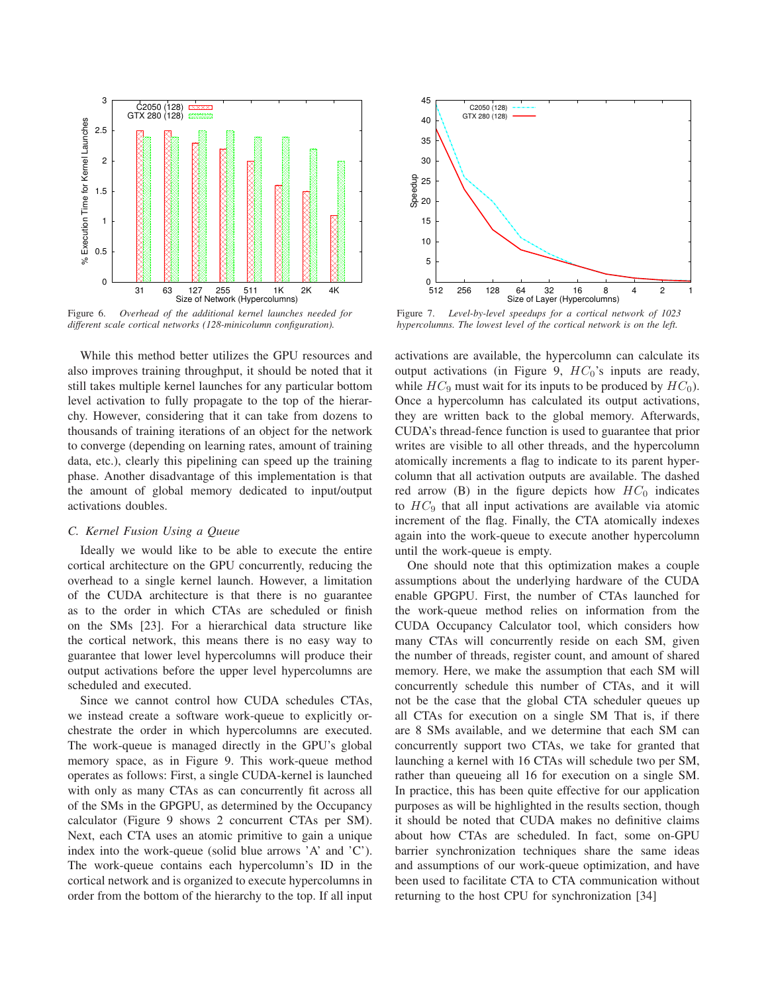

Figure 6. *Overhead of the additional kernel launches needed for different scale cortical networks (128-minicolumn configuration).*

While this method better utilizes the GPU resources and also improves training throughput, it should be noted that it still takes multiple kernel launches for any particular bottom level activation to fully propagate to the top of the hierarchy. However, considering that it can take from dozens to thousands of training iterations of an object for the network to converge (depending on learning rates, amount of training data, etc.), clearly this pipelining can speed up the training phase. Another disadvantage of this implementation is that the amount of global memory dedicated to input/output activations doubles.

#### *C. Kernel Fusion Using a Queue*

Ideally we would like to be able to execute the entire cortical architecture on the GPU concurrently, reducing the overhead to a single kernel launch. However, a limitation of the CUDA architecture is that there is no guarantee as to the order in which CTAs are scheduled or finish on the SMs [23]. For a hierarchical data structure like the cortical network, this means there is no easy way to guarantee that lower level hypercolumns will produce their output activations before the upper level hypercolumns are scheduled and executed.

Since we cannot control how CUDA schedules CTAs, we instead create a software work-queue to explicitly orchestrate the order in which hypercolumns are executed. The work-queue is managed directly in the GPU's global memory space, as in Figure 9. This work-queue method operates as follows: First, a single CUDA-kernel is launched with only as many CTAs as can concurrently fit across all of the SMs in the GPGPU, as determined by the Occupancy calculator (Figure 9 shows 2 concurrent CTAs per SM). Next, each CTA uses an atomic primitive to gain a unique index into the work-queue (solid blue arrows 'A' and 'C'). The work-queue contains each hypercolumn's ID in the cortical network and is organized to execute hypercolumns in order from the bottom of the hierarchy to the top. If all input



Figure 7. *Level-by-level speedups for a cortical network of 1023 hypercolumns. The lowest level of the cortical network is on the left.*

activations are available, the hypercolumn can calculate its output activations (in Figure 9,  $HC_0$ 's inputs are ready, while  $HC_9$  must wait for its inputs to be produced by  $HC_0$ ). Once a hypercolumn has calculated its output activations, they are written back to the global memory. Afterwards, CUDA's thread-fence function is used to guarantee that prior writes are visible to all other threads, and the hypercolumn atomically increments a flag to indicate to its parent hypercolumn that all activation outputs are available. The dashed red arrow (B) in the figure depicts how  $HC_0$  indicates to  $HC<sub>9</sub>$  that all input activations are available via atomic increment of the flag. Finally, the CTA atomically indexes again into the work-queue to execute another hypercolumn until the work-queue is empty.

One should note that this optimization makes a couple assumptions about the underlying hardware of the CUDA enable GPGPU. First, the number of CTAs launched for the work-queue method relies on information from the CUDA Occupancy Calculator tool, which considers how many CTAs will concurrently reside on each SM, given the number of threads, register count, and amount of shared memory. Here, we make the assumption that each SM will concurrently schedule this number of CTAs, and it will not be the case that the global CTA scheduler queues up all CTAs for execution on a single SM That is, if there are 8 SMs available, and we determine that each SM can concurrently support two CTAs, we take for granted that launching a kernel with 16 CTAs will schedule two per SM, rather than queueing all 16 for execution on a single SM. In practice, this has been quite effective for our application purposes as will be highlighted in the results section, though it should be noted that CUDA makes no definitive claims about how CTAs are scheduled. In fact, some on-GPU barrier synchronization techniques share the same ideas and assumptions of our work-queue optimization, and have been used to facilitate CTA to CTA communication without returning to the host CPU for synchronization [34]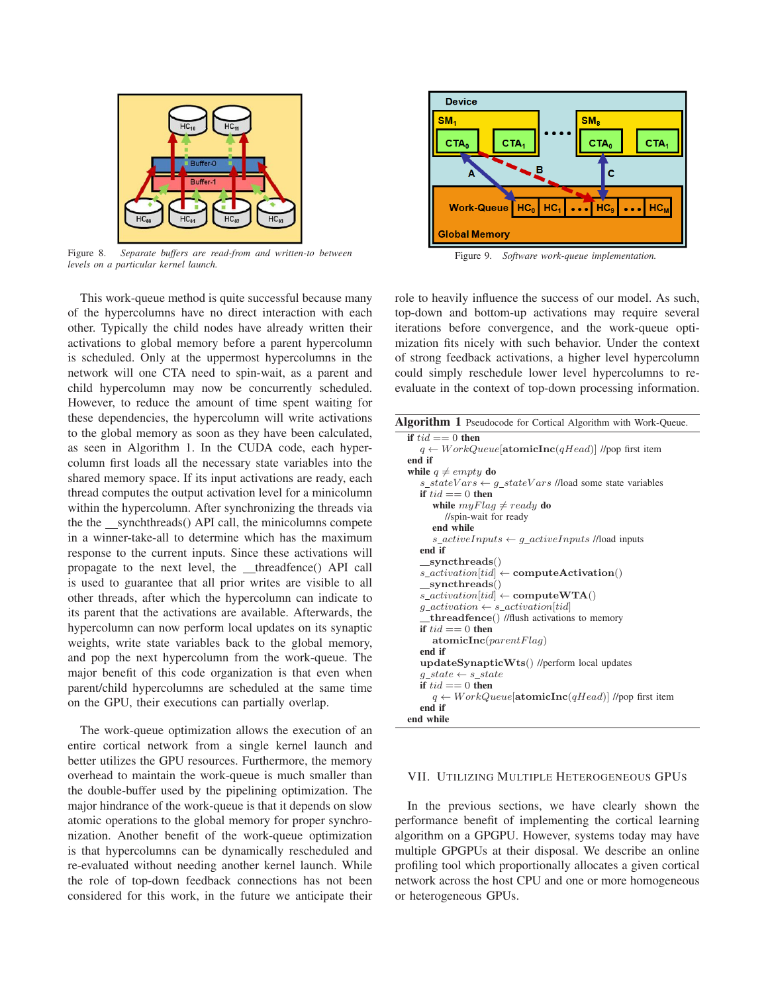

Figure 8. *Separate buffers are read-from and written-to between levels on a particular kernel launch.*

This work-queue method is quite successful because many of the hypercolumns have no direct interaction with each other. Typically the child nodes have already written their activations to global memory before a parent hypercolumn is scheduled. Only at the uppermost hypercolumns in the network will one CTA need to spin-wait, as a parent and child hypercolumn may now be concurrently scheduled. However, to reduce the amount of time spent waiting for these dependencies, the hypercolumn will write activations to the global memory as soon as they have been calculated, as seen in Algorithm 1. In the CUDA code, each hypercolumn first loads all the necessary state variables into the shared memory space. If its input activations are ready, each thread computes the output activation level for a minicolumn within the hypercolumn. After synchronizing the threads via the the  $\equiv$  synchthreads() API call, the minicolumns compete in a winner-take-all to determine which has the maximum response to the current inputs. Since these activations will propagate to the next level, the \_threadfence() API call is used to guarantee that all prior writes are visible to all other threads, after which the hypercolumn can indicate to its parent that the activations are available. Afterwards, the hypercolumn can now perform local updates on its synaptic weights, write state variables back to the global memory, and pop the next hypercolumn from the work-queue. The major benefit of this code organization is that even when parent/child hypercolumns are scheduled at the same time on the GPU, their executions can partially overlap.

The work-queue optimization allows the execution of an entire cortical network from a single kernel launch and better utilizes the GPU resources. Furthermore, the memory overhead to maintain the work-queue is much smaller than the double-buffer used by the pipelining optimization. The major hindrance of the work-queue is that it depends on slow atomic operations to the global memory for proper synchronization. Another benefit of the work-queue optimization is that hypercolumns can be dynamically rescheduled and re-evaluated without needing another kernel launch. While the role of top-down feedback connections has not been considered for this work, in the future we anticipate their



Figure 9. *Software work-queue implementation.*

role to heavily influence the success of our model. As such, top-down and bottom-up activations may require several iterations before convergence, and the work-queue optimization fits nicely with such behavior. Under the context of strong feedback activations, a higher level hypercolumn could simply reschedule lower level hypercolumns to reevaluate in the context of top-down processing information.

| <b>Algorithm 1</b> Pseudocode for Cortical Algorithm with Work-Queue. |
|-----------------------------------------------------------------------|
| if $tid == 0$ then                                                    |
| $q \leftarrow WorkQueue[atomicInc(qHead)]$ //pop first item           |
| end if                                                                |
| while $q \neq empty$ do                                               |
| $s\_stateVars \leftarrow g\_stateVars$ //load some state variables    |
| if $tid == 0$ then                                                    |
| while $myFlag \neq ready$ do                                          |
| //spin-wait for ready                                                 |
| end while                                                             |
| $s\_activeInputStream \leftarrow q\_activeInputStream$ //load inputs  |
| end if                                                                |
| symcthreads()                                                         |
| s activation [tid] $\leftarrow$ compute Activation()                  |
| $-symcthreads()$                                                      |
| $s\_activation[tid] \leftarrow computeWTA()$                          |
| $g\_activation \leftarrow s\_activation[tid]$                         |
| <b>threadfence</b> () //flush activations to memory                   |
| if $tid == 0$ then                                                    |
| atomicInc(parentFlag)                                                 |
| end if                                                                |
| updateSynapticWts() //perform local updates                           |
| $q\_state \leftarrow s\_state$                                        |
| if $tid == 0$ then                                                    |
| $q \leftarrow WorkQueue[atomicInc(qHead)]$ //pop first item           |
| end if                                                                |
| end while                                                             |

#### VII. UTILIZING MULTIPLE HETEROGENEOUS GPUS

In the previous sections, we have clearly shown the performance benefit of implementing the cortical learning algorithm on a GPGPU. However, systems today may have multiple GPGPUs at their disposal. We describe an online profiling tool which proportionally allocates a given cortical network across the host CPU and one or more homogeneous or heterogeneous GPUs.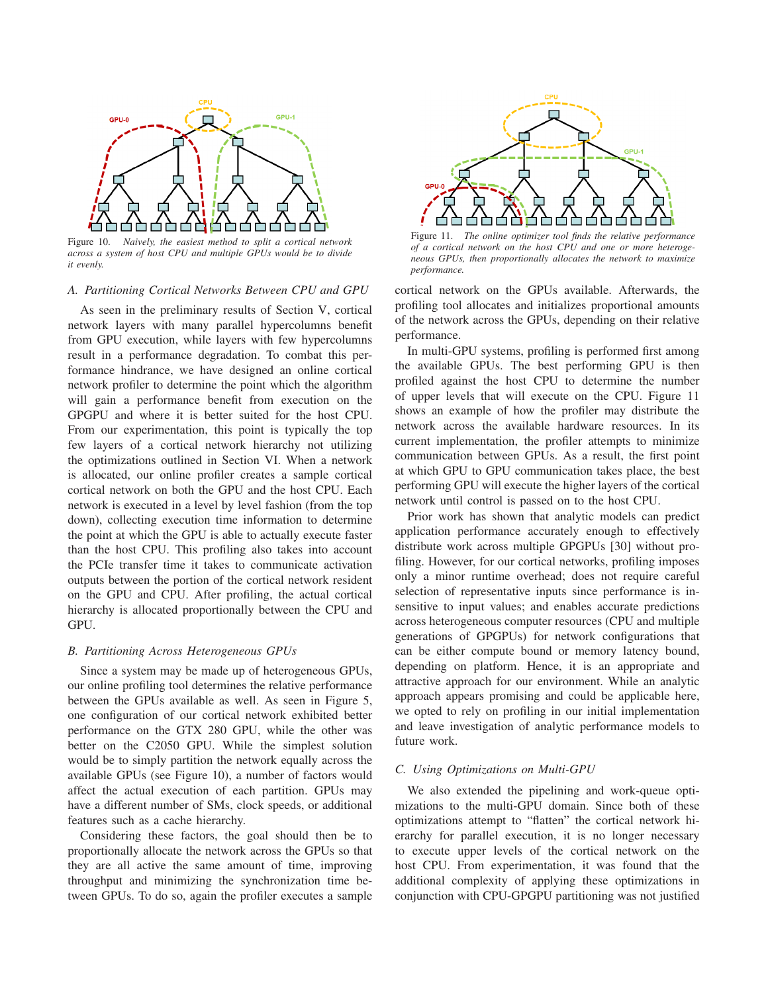

Figure 10. *Naively, the easiest method to split a cortical network across a system of host CPU and multiple GPUs would be to divide it evenly.*

#### *A. Partitioning Cortical Networks Between CPU and GPU*

As seen in the preliminary results of Section V, cortical network layers with many parallel hypercolumns benefit from GPU execution, while layers with few hypercolumns result in a performance degradation. To combat this performance hindrance, we have designed an online cortical network profiler to determine the point which the algorithm will gain a performance benefit from execution on the GPGPU and where it is better suited for the host CPU. From our experimentation, this point is typically the top few layers of a cortical network hierarchy not utilizing the optimizations outlined in Section VI. When a network is allocated, our online profiler creates a sample cortical cortical network on both the GPU and the host CPU. Each network is executed in a level by level fashion (from the top down), collecting execution time information to determine the point at which the GPU is able to actually execute faster than the host CPU. This profiling also takes into account the PCIe transfer time it takes to communicate activation outputs between the portion of the cortical network resident on the GPU and CPU. After profiling, the actual cortical hierarchy is allocated proportionally between the CPU and GPU.

#### *B. Partitioning Across Heterogeneous GPUs*

Since a system may be made up of heterogeneous GPUs, our online profiling tool determines the relative performance between the GPUs available as well. As seen in Figure 5, one configuration of our cortical network exhibited better performance on the GTX 280 GPU, while the other was better on the C2050 GPU. While the simplest solution would be to simply partition the network equally across the available GPUs (see Figure 10), a number of factors would affect the actual execution of each partition. GPUs may have a different number of SMs, clock speeds, or additional features such as a cache hierarchy.

Considering these factors, the goal should then be to proportionally allocate the network across the GPUs so that they are all active the same amount of time, improving throughput and minimizing the synchronization time between GPUs. To do so, again the profiler executes a sample



Figure 11. *The online optimizer tool finds the relative performance of a cortical network on the host CPU and one or more heterogeneous GPUs, then proportionally allocates the network to maximize performance.*

cortical network on the GPUs available. Afterwards, the profiling tool allocates and initializes proportional amounts of the network across the GPUs, depending on their relative performance.

In multi-GPU systems, profiling is performed first among the available GPUs. The best performing GPU is then profiled against the host CPU to determine the number of upper levels that will execute on the CPU. Figure 11 shows an example of how the profiler may distribute the network across the available hardware resources. In its current implementation, the profiler attempts to minimize communication between GPUs. As a result, the first point at which GPU to GPU communication takes place, the best performing GPU will execute the higher layers of the cortical network until control is passed on to the host CPU.

Prior work has shown that analytic models can predict application performance accurately enough to effectively distribute work across multiple GPGPUs [30] without profiling. However, for our cortical networks, profiling imposes only a minor runtime overhead; does not require careful selection of representative inputs since performance is insensitive to input values; and enables accurate predictions across heterogeneous computer resources (CPU and multiple generations of GPGPUs) for network configurations that can be either compute bound or memory latency bound, depending on platform. Hence, it is an appropriate and attractive approach for our environment. While an analytic approach appears promising and could be applicable here, we opted to rely on profiling in our initial implementation and leave investigation of analytic performance models to future work.

#### *C. Using Optimizations on Multi-GPU*

We also extended the pipelining and work-queue optimizations to the multi-GPU domain. Since both of these optimizations attempt to "flatten" the cortical network hierarchy for parallel execution, it is no longer necessary to execute upper levels of the cortical network on the host CPU. From experimentation, it was found that the additional complexity of applying these optimizations in conjunction with CPU-GPGPU partitioning was not justified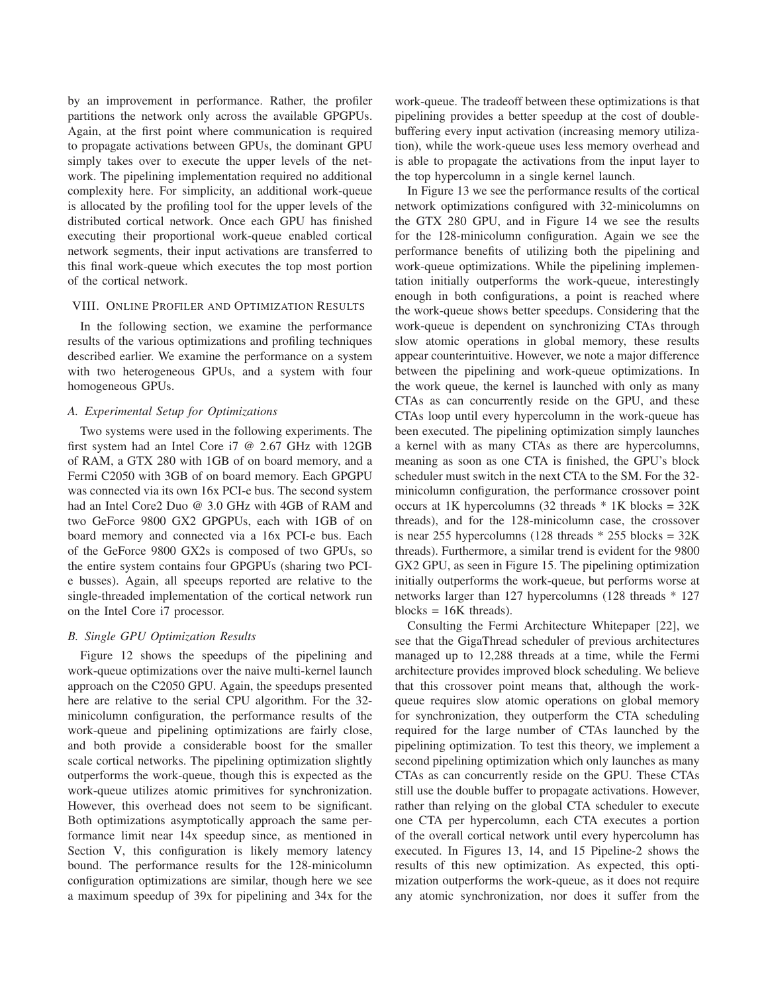by an improvement in performance. Rather, the profiler partitions the network only across the available GPGPUs. Again, at the first point where communication is required to propagate activations between GPUs, the dominant GPU simply takes over to execute the upper levels of the network. The pipelining implementation required no additional complexity here. For simplicity, an additional work-queue is allocated by the profiling tool for the upper levels of the distributed cortical network. Once each GPU has finished executing their proportional work-queue enabled cortical network segments, their input activations are transferred to this final work-queue which executes the top most portion of the cortical network.

## VIII. ONLINE PROFILER AND OPTIMIZATION RESULTS

In the following section, we examine the performance results of the various optimizations and profiling techniques described earlier. We examine the performance on a system with two heterogeneous GPUs, and a system with four homogeneous GPUs.

# *A. Experimental Setup for Optimizations*

Two systems were used in the following experiments. The first system had an Intel Core i7 @ 2.67 GHz with 12GB of RAM, a GTX 280 with 1GB of on board memory, and a Fermi C2050 with 3GB of on board memory. Each GPGPU was connected via its own 16x PCI-e bus. The second system had an Intel Core2 Duo @ 3.0 GHz with 4GB of RAM and two GeForce 9800 GX2 GPGPUs, each with 1GB of on board memory and connected via a 16x PCI-e bus. Each of the GeForce 9800 GX2s is composed of two GPUs, so the entire system contains four GPGPUs (sharing two PCIe busses). Again, all speeups reported are relative to the single-threaded implementation of the cortical network run on the Intel Core i7 processor.

## *B. Single GPU Optimization Results*

Figure 12 shows the speedups of the pipelining and work-queue optimizations over the naive multi-kernel launch approach on the C2050 GPU. Again, the speedups presented here are relative to the serial CPU algorithm. For the 32 minicolumn configuration, the performance results of the work-queue and pipelining optimizations are fairly close, and both provide a considerable boost for the smaller scale cortical networks. The pipelining optimization slightly outperforms the work-queue, though this is expected as the work-queue utilizes atomic primitives for synchronization. However, this overhead does not seem to be significant. Both optimizations asymptotically approach the same performance limit near 14x speedup since, as mentioned in Section V, this configuration is likely memory latency bound. The performance results for the 128-minicolumn configuration optimizations are similar, though here we see a maximum speedup of 39x for pipelining and 34x for the work-queue. The tradeoff between these optimizations is that pipelining provides a better speedup at the cost of doublebuffering every input activation (increasing memory utilization), while the work-queue uses less memory overhead and is able to propagate the activations from the input layer to the top hypercolumn in a single kernel launch.

In Figure 13 we see the performance results of the cortical network optimizations configured with 32-minicolumns on the GTX 280 GPU, and in Figure 14 we see the results for the 128-minicolumn configuration. Again we see the performance benefits of utilizing both the pipelining and work-queue optimizations. While the pipelining implementation initially outperforms the work-queue, interestingly enough in both configurations, a point is reached where the work-queue shows better speedups. Considering that the work-queue is dependent on synchronizing CTAs through slow atomic operations in global memory, these results appear counterintuitive. However, we note a major difference between the pipelining and work-queue optimizations. In the work queue, the kernel is launched with only as many CTAs as can concurrently reside on the GPU, and these CTAs loop until every hypercolumn in the work-queue has been executed. The pipelining optimization simply launches a kernel with as many CTAs as there are hypercolumns, meaning as soon as one CTA is finished, the GPU's block scheduler must switch in the next CTA to the SM. For the 32 minicolumn configuration, the performance crossover point occurs at 1K hypercolumns (32 threads  $*$  1K blocks = 32K threads), and for the 128-minicolumn case, the crossover is near 255 hypercolumns (128 threads  $*$  255 blocks = 32K threads). Furthermore, a similar trend is evident for the 9800 GX2 GPU, as seen in Figure 15. The pipelining optimization initially outperforms the work-queue, but performs worse at networks larger than 127 hypercolumns (128 threads \* 127 blocks  $= 16K$  threads).

Consulting the Fermi Architecture Whitepaper [22], we see that the GigaThread scheduler of previous architectures managed up to 12,288 threads at a time, while the Fermi architecture provides improved block scheduling. We believe that this crossover point means that, although the workqueue requires slow atomic operations on global memory for synchronization, they outperform the CTA scheduling required for the large number of CTAs launched by the pipelining optimization. To test this theory, we implement a second pipelining optimization which only launches as many CTAs as can concurrently reside on the GPU. These CTAs still use the double buffer to propagate activations. However, rather than relying on the global CTA scheduler to execute one CTA per hypercolumn, each CTA executes a portion of the overall cortical network until every hypercolumn has executed. In Figures 13, 14, and 15 Pipeline-2 shows the results of this new optimization. As expected, this optimization outperforms the work-queue, as it does not require any atomic synchronization, nor does it suffer from the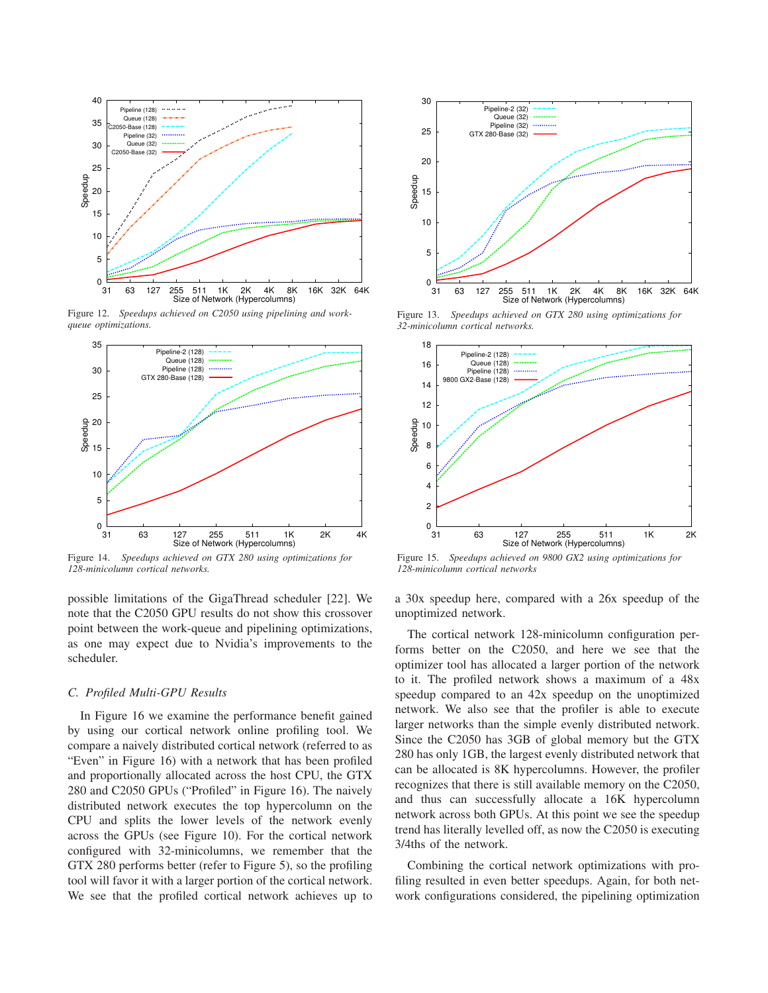

Figure 12. *Speedups achieved on C2050 using pipelining and workqueue optimizations.*



Figure 14. *Speedups achieved on GTX 280 using optimizations for 128-minicolumn cortical networks.*

possible limitations of the GigaThread scheduler [22]. We note that the C2050 GPU results do not show this crossover point between the work-queue and pipelining optimizations, as one may expect due to Nvidia's improvements to the scheduler.

#### *C. Profiled Multi-GPU Results*

In Figure 16 we examine the performance benefit gained by using our cortical network online profiling tool. We compare a naively distributed cortical network (referred to as "Even" in Figure 16) with a network that has been profiled and proportionally allocated across the host CPU, the GTX 280 and C2050 GPUs ("Profiled" in Figure 16). The naively distributed network executes the top hypercolumn on the CPU and splits the lower levels of the network evenly across the GPUs (see Figure 10). For the cortical network configured with 32-minicolumns, we remember that the GTX 280 performs better (refer to Figure 5), so the profiling tool will favor it with a larger portion of the cortical network. We see that the profiled cortical network achieves up to



Figure 13. *Speedups achieved on GTX 280 using optimizations for 32-minicolumn cortical networks.*



Figure 15. *Speedups achieved on 9800 GX2 using optimizations for 128-minicolumn cortical networks*

a 30x speedup here, compared with a 26x speedup of the unoptimized network.

The cortical network 128-minicolumn configuration performs better on the C2050, and here we see that the optimizer tool has allocated a larger portion of the network to it. The profiled network shows a maximum of a 48x speedup compared to an 42x speedup on the unoptimized network. We also see that the profiler is able to execute larger networks than the simple evenly distributed network. Since the C2050 has 3GB of global memory but the GTX 280 has only 1GB, the largest evenly distributed network that can be allocated is 8K hypercolumns. However, the profiler recognizes that there is still available memory on the C2050, and thus can successfully allocate a 16K hypercolumn network across both GPUs. At this point we see the speedup trend has literally levelled off, as now the C2050 is executing 3/4ths of the network.

Combining the cortical network optimizations with profiling resulted in even better speedups. Again, for both network configurations considered, the pipelining optimization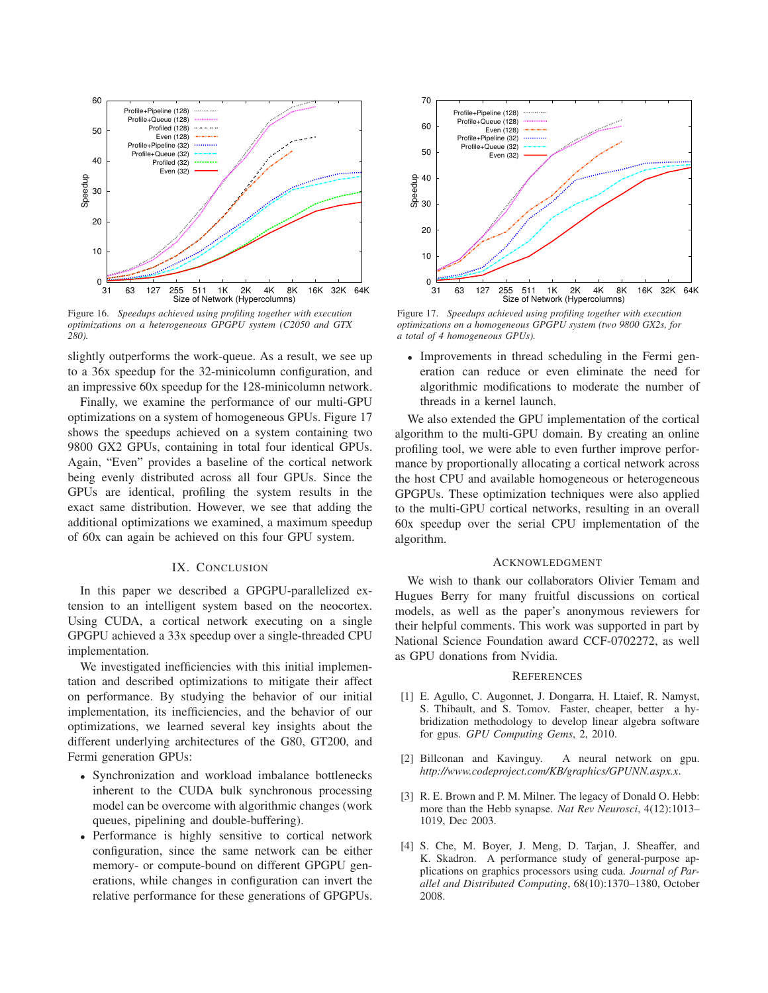

Figure 16. *Speedups achieved using profiling together with execution optimizations on a heterogeneous GPGPU system (C2050 and GTX 280).*

slightly outperforms the work-queue. As a result, we see up to a 36x speedup for the 32-minicolumn configuration, and an impressive 60x speedup for the 128-minicolumn network.

Finally, we examine the performance of our multi-GPU optimizations on a system of homogeneous GPUs. Figure 17 shows the speedups achieved on a system containing two 9800 GX2 GPUs, containing in total four identical GPUs. Again, "Even" provides a baseline of the cortical network being evenly distributed across all four GPUs. Since the GPUs are identical, profiling the system results in the exact same distribution. However, we see that adding the additional optimizations we examined, a maximum speedup of 60x can again be achieved on this four GPU system.

# IX. CONCLUSION

In this paper we described a GPGPU-parallelized extension to an intelligent system based on the neocortex. Using CUDA, a cortical network executing on a single GPGPU achieved a 33x speedup over a single-threaded CPU implementation.

We investigated inefficiencies with this initial implementation and described optimizations to mitigate their affect on performance. By studying the behavior of our initial implementation, its inefficiencies, and the behavior of our optimizations, we learned several key insights about the different underlying architectures of the G80, GT200, and Fermi generation GPUs:

- Synchronization and workload imbalance bottlenecks inherent to the CUDA bulk synchronous processing model can be overcome with algorithmic changes (work queues, pipelining and double-buffering).
- Performance is highly sensitive to cortical network configuration, since the same network can be either memory- or compute-bound on different GPGPU generations, while changes in configuration can invert the relative performance for these generations of GPGPUs.



Figure 17. *Speedups achieved using profiling together with execution optimizations on a homogeneous GPGPU system (two 9800 GX2s, for a total of 4 homogeneous GPUs).*

• Improvements in thread scheduling in the Fermi generation can reduce or even eliminate the need for algorithmic modifications to moderate the number of threads in a kernel launch.

We also extended the GPU implementation of the cortical algorithm to the multi-GPU domain. By creating an online profiling tool, we were able to even further improve performance by proportionally allocating a cortical network across the host CPU and available homogeneous or heterogeneous GPGPUs. These optimization techniques were also applied to the multi-GPU cortical networks, resulting in an overall 60x speedup over the serial CPU implementation of the algorithm.

#### ACKNOWLEDGMENT

We wish to thank our collaborators Olivier Temam and Hugues Berry for many fruitful discussions on cortical models, as well as the paper's anonymous reviewers for their helpful comments. This work was supported in part by National Science Foundation award CCF-0702272, as well as GPU donations from Nvidia.

#### **REFERENCES**

- [1] E. Agullo, C. Augonnet, J. Dongarra, H. Ltaief, R. Namyst, S. Thibault, and S. Tomov. Faster, cheaper, better a hybridization methodology to develop linear algebra software for gpus. *GPU Computing Gems*, 2, 2010.
- [2] Billconan and Kavinguy. A neural network on gpu. *http://www.codeproject.com/KB/graphics/GPUNN.aspx.x*.
- [3] R. E. Brown and P. M. Milner. The legacy of Donald O. Hebb: more than the Hebb synapse. *Nat Rev Neurosci*, 4(12):1013– 1019, Dec 2003.
- [4] S. Che, M. Boyer, J. Meng, D. Tarjan, J. Sheaffer, and K. Skadron. A performance study of general-purpose applications on graphics processors using cuda. *Journal of Parallel and Distributed Computing*, 68(10):1370–1380, October 2008.